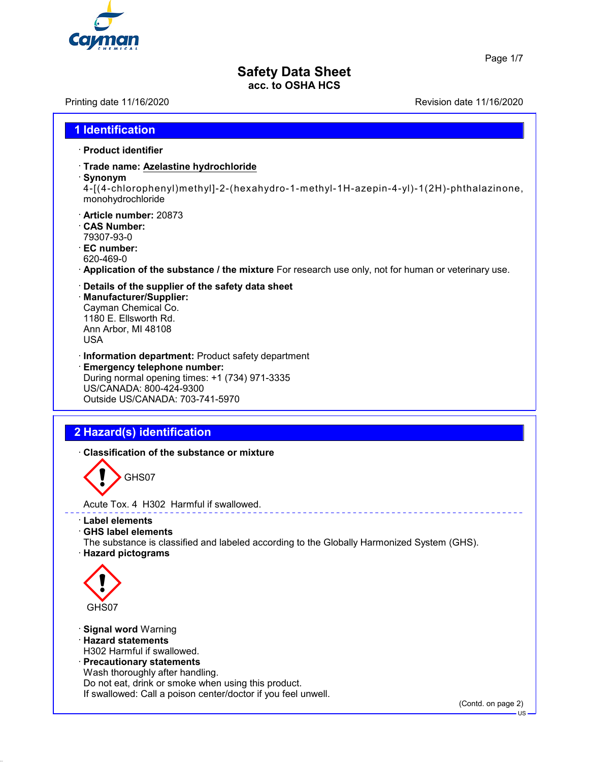

Page 1/7

# **Safety Data Sheet**

**acc. to OSHA HCS**

Printing date 11/16/2020 Revision date 11/16/2020

| · Product identifier                                                                                                                                                                                      |  |
|-----------------------------------------------------------------------------------------------------------------------------------------------------------------------------------------------------------|--|
| · Trade name: Azelastine hydrochloride<br>· Synonym<br>4-[(4-chlorophenyl)methyl]-2-(hexahydro-1-methyl-1H-azepin-4-yl)-1(2H)-phthalazinone,<br>monohydrochloride                                         |  |
| · Article number: 20873<br><b>CAS Number:</b><br>79307-93-0<br>· EC number:<br>620-469-0<br>Application of the substance / the mixture For research use only, not for human or veterinary use.            |  |
| Details of the supplier of the safety data sheet<br>· Manufacturer/Supplier:<br>Cayman Chemical Co.<br>1180 E. Ellsworth Rd.<br>Ann Arbor, MI 48108<br><b>USA</b>                                         |  |
| · Information department: Product safety department<br><b>Emergency telephone number:</b><br>During normal opening times: +1 (734) 971-3335<br>US/CANADA: 800-424-9300<br>Outside US/CANADA: 703-741-5970 |  |

## **2 Hazard(s) identification**

· **Classification of the substance or mixture**



Acute Tox. 4 H302 Harmful if swallowed.

· **Label elements**

· **GHS label elements**

The substance is classified and labeled according to the Globally Harmonized System (GHS). · **Hazard pictograms**



- · **Signal word** Warning
- · **Hazard statements**
- H302 Harmful if swallowed. · **Precautionary statements**

Wash thoroughly after handling. Do not eat, drink or smoke when using this product. If swallowed: Call a poison center/doctor if you feel unwell.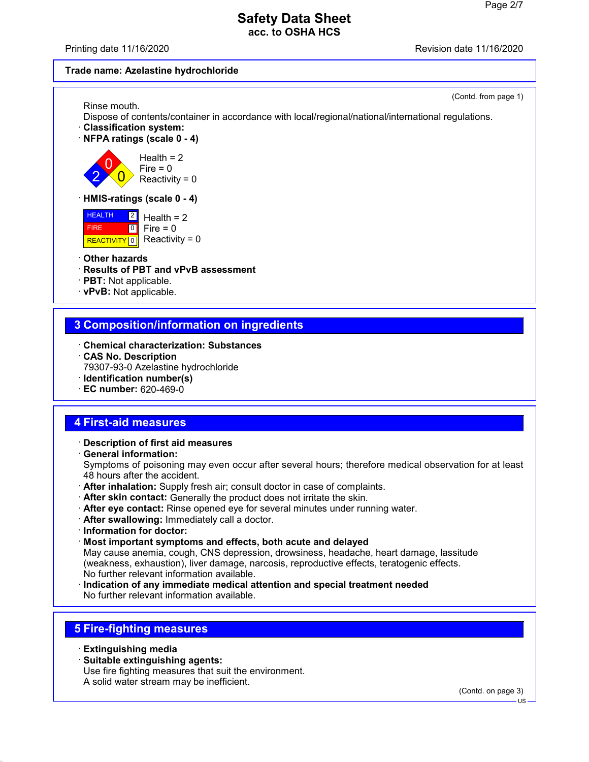Printing date 11/16/2020 **Review Accord 2012** Revision date 11/16/2020

#### **Trade name: Azelastine hydrochloride**

(Contd. from page 1)

Rinse mouth. Dispose of contents/container in accordance with local/regional/national/international regulations.

- · **Classification system:**
- · **NFPA ratings (scale 0 4)**

2 0  $\overline{\mathbf{0}}$ 

 $Health = 2$  $Fire = 0$ Reactivity =  $0$ 

#### · **HMIS-ratings (scale 0 - 4)**

**HEALTH FIRE** REACTIVITY  $\boxed{0}$  Reactivity = 0  $\frac{2}{3}$  Health = 2  $\boxed{0}$  $Fire = 0$ 

#### · **Other hazards**

· **Results of PBT and vPvB assessment**

- · **PBT:** Not applicable.
- · **vPvB:** Not applicable.

## **3 Composition/information on ingredients**

- · **Chemical characterization: Substances**
- · **CAS No. Description** 79307-93-0 Azelastine hydrochloride · **Identification number(s)**
- · **EC number:** 620-469-0

## **4 First-aid measures**

· **Description of first aid measures**

· **General information:** Symptoms of poisoning may even occur after several hours; therefore medical observation for at least 48 hours after the accident.

- · **After inhalation:** Supply fresh air; consult doctor in case of complaints.
- · **After skin contact:** Generally the product does not irritate the skin.
- · **After eye contact:** Rinse opened eye for several minutes under running water.
- · **After swallowing:** Immediately call a doctor.
- · **Information for doctor:**
- · **Most important symptoms and effects, both acute and delayed** May cause anemia, cough, CNS depression, drowsiness, headache, heart damage, lassitude (weakness, exhaustion), liver damage, narcosis, reproductive effects, teratogenic effects. No further relevant information available.
- · **Indication of any immediate medical attention and special treatment needed** No further relevant information available.

## **5 Fire-fighting measures**

- · **Extinguishing media**
- · **Suitable extinguishing agents:**
- Use fire fighting measures that suit the environment.
- A solid water stream may be inefficient.

(Contd. on page 3)

US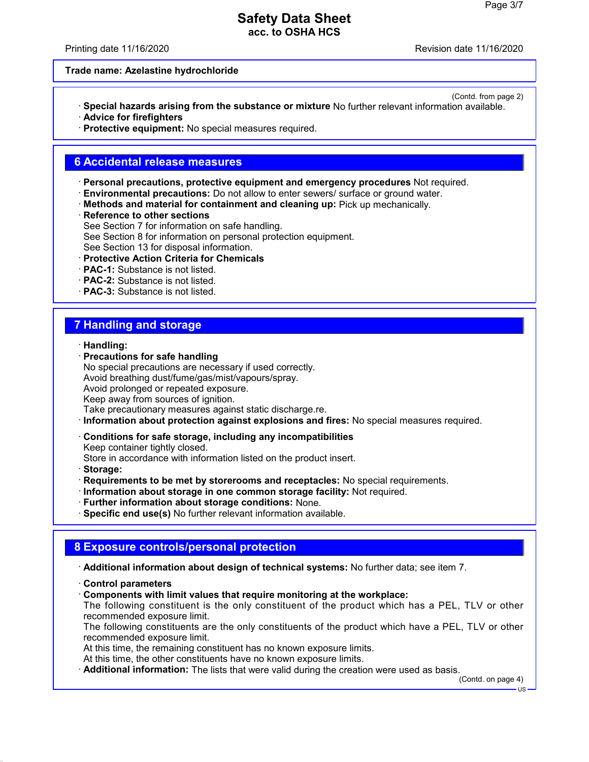Printing date 11/16/2020 **Review Accord 2012** Revision date 11/16/2020

(Contd. from page 2)

#### **Trade name: Azelastine hydrochloride**

- · **Special hazards arising from the substance or mixture** No further relevant information available. · **Advice for firefighters**
- · **Protective equipment:** No special measures required.

#### **6 Accidental release measures**

- · **Personal precautions, protective equipment and emergency procedures** Not required.
- · **Environmental precautions:** Do not allow to enter sewers/ surface or ground water.
- · **Methods and material for containment and cleaning up:** Pick up mechanically.
- · **Reference to other sections**
- See Section 7 for information on safe handling.
- See Section 8 for information on personal protection equipment.
- See Section 13 for disposal information.
- · **Protective Action Criteria for Chemicals**
- · **PAC-1:** Substance is not listed.
- · **PAC-2:** Substance is not listed.
- · **PAC-3:** Substance is not listed.

#### **7 Handling and storage**

- · **Handling:**
- · **Precautions for safe handling** No special precautions are necessary if used correctly. Avoid breathing dust/fume/gas/mist/vapours/spray. Avoid prolonged or repeated exposure. Keep away from sources of ignition. Take precautionary measures against static discharge.re.
- · **Information about protection against explosions and fires:** No special measures required.
- · **Conditions for safe storage, including any incompatibilities**

Keep container tightly closed.

Store in accordance with information listed on the product insert.

- · **Storage:**
- · **Requirements to be met by storerooms and receptacles:** No special requirements.
- · **Information about storage in one common storage facility:** Not required.
- · **Further information about storage conditions:** None.
- · **Specific end use(s)** No further relevant information available.

#### **8 Exposure controls/personal protection**

· **Additional information about design of technical systems:** No further data; see item 7.

- · **Control parameters**
- · **Components with limit values that require monitoring at the workplace:**

The following constituent is the only constituent of the product which has a PEL, TLV or other recommended exposure limit.

The following constituents are the only constituents of the product which have a PEL, TLV or other recommended exposure limit.

At this time, the remaining constituent has no known exposure limits.

At this time, the other constituents have no known exposure limits.

· **Additional information:** The lists that were valid during the creation were used as basis.

(Contd. on page 4)

US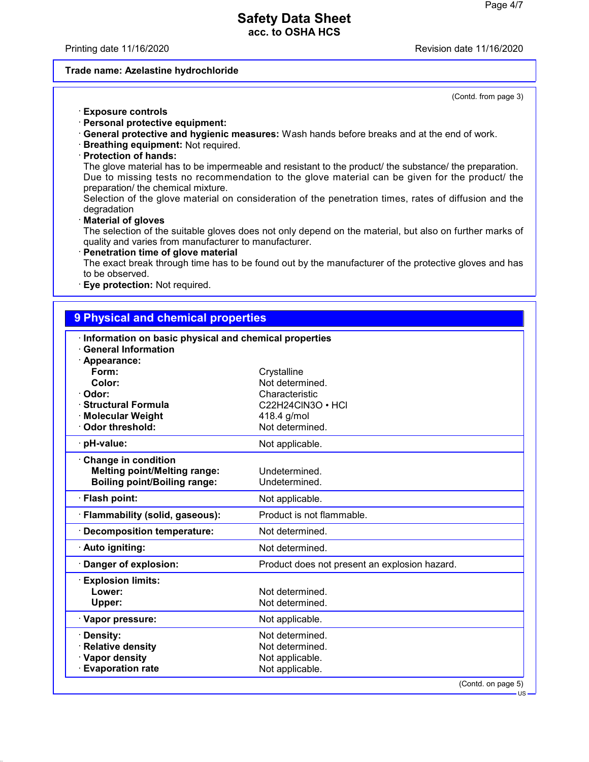Printing date 11/16/2020 **Review Accord 2012** Revision date 11/16/2020

#### **Trade name: Azelastine hydrochloride**

(Contd. from page 3)

- · **Exposure controls**
- · **Personal protective equipment:**
- · **General protective and hygienic measures:** Wash hands before breaks and at the end of work.
- · **Breathing equipment:** Not required.
- · **Protection of hands:**

The glove material has to be impermeable and resistant to the product/ the substance/ the preparation. Due to missing tests no recommendation to the glove material can be given for the product/ the preparation/ the chemical mixture.

Selection of the glove material on consideration of the penetration times, rates of diffusion and the degradation

· **Material of gloves**

The selection of the suitable gloves does not only depend on the material, but also on further marks of quality and varies from manufacturer to manufacturer.

· **Penetration time of glove material**

The exact break through time has to be found out by the manufacturer of the protective gloves and has to be observed.

· **Eye protection:** Not required.

## **9 Physical and chemical properties**

|                                             | Information on basic physical and chemical properties |  |
|---------------------------------------------|-------------------------------------------------------|--|
| <b>General Information</b><br>· Appearance: |                                                       |  |
| Form:                                       | Crystalline                                           |  |
| Color:                                      | Not determined.                                       |  |
| · Odor:                                     | Characteristic                                        |  |
| <b>Structural Formula</b>                   | C22H24CIN3O • HCI                                     |  |
| <b>Molecular Weight</b>                     | 418.4 g/mol                                           |  |
| Odor threshold:                             | Not determined.                                       |  |
| · pH-value:                                 | Not applicable.                                       |  |
| Change in condition                         |                                                       |  |
| <b>Melting point/Melting range:</b>         | Undetermined.                                         |  |
| <b>Boiling point/Boiling range:</b>         | Undetermined.                                         |  |
| · Flash point:                              | Not applicable.                                       |  |
| · Flammability (solid, gaseous):            | Product is not flammable.                             |  |
| Decomposition temperature:                  | Not determined.                                       |  |
| · Auto igniting:                            | Not determined.                                       |  |
| Danger of explosion:                        | Product does not present an explosion hazard.         |  |
| <b>Explosion limits:</b>                    |                                                       |  |
| Lower:                                      | Not determined.                                       |  |
| Upper:                                      | Not determined.                                       |  |
| · Vapor pressure:                           | Not applicable.                                       |  |
| Density:                                    | Not determined.                                       |  |
| <b>Relative density</b>                     | Not determined.                                       |  |
| · Vapor density                             | Not applicable.                                       |  |
| <b>Evaporation rate</b>                     | Not applicable.                                       |  |
|                                             | (Contd. on page 5)                                    |  |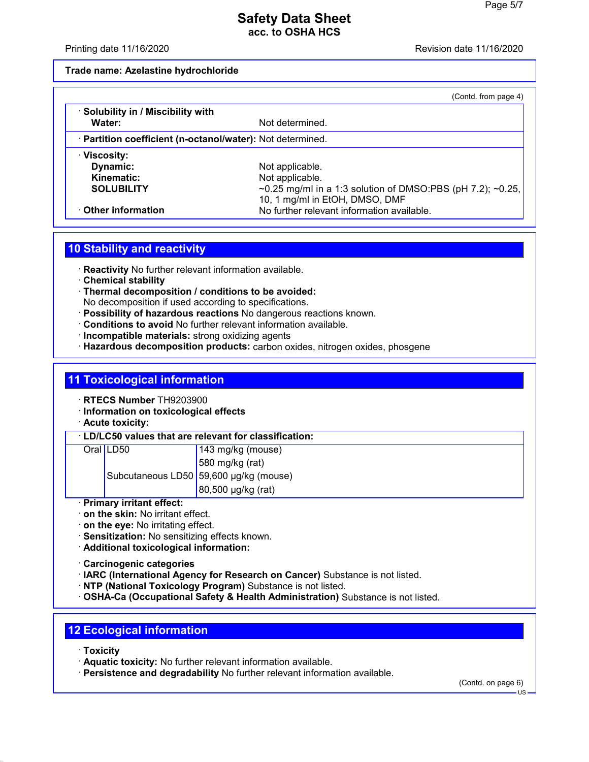Printing date 11/16/2020 **Review Accord 2012** Revision date 11/16/2020

#### **Trade name: Azelastine hydrochloride**

|                                                            | (Contd. from page 4)                                                                         |  |
|------------------------------------------------------------|----------------------------------------------------------------------------------------------|--|
| · Solubility in / Miscibility with<br>Water:               | Not determined.                                                                              |  |
| · Partition coefficient (n-octanol/water): Not determined. |                                                                                              |  |
| · Viscosity:                                               |                                                                                              |  |
| Dynamic:                                                   | Not applicable.                                                                              |  |
| Kinematic:                                                 | Not applicable.                                                                              |  |
| <b>SOLUBILITY</b>                                          | ~0.25 mg/ml in a 1:3 solution of DMSO:PBS (pH 7.2); ~0.25,<br>10, 1 mg/ml in EtOH, DMSO, DMF |  |
| Other information                                          | No further relevant information available.                                                   |  |

#### **10 Stability and reactivity**

· **Reactivity** No further relevant information available.

- · **Chemical stability**
- · **Thermal decomposition / conditions to be avoided:** No decomposition if used according to specifications.
- · **Possibility of hazardous reactions** No dangerous reactions known.
- · **Conditions to avoid** No further relevant information available.
- · **Incompatible materials:** strong oxidizing agents
- · **Hazardous decomposition products:** carbon oxides, nitrogen oxides, phosgene

## **11 Toxicological information**

- · **RTECS Number** TH9203900
- · **Information on toxicological effects**
- · **Acute toxicity:**

#### · **LD/LC50 values that are relevant for classification:**

| Oral LD50 | $143$ mg/kg (mouse)                    |
|-----------|----------------------------------------|
|           | 580 mg/kg (rat)                        |
|           | Subcutaneous LD50 59,600 µg/kg (mouse) |
|           | $\vert$ 80,500 µg/kg (rat)             |

#### · **Primary irritant effect:**

- · **on the skin:** No irritant effect.
- · **on the eye:** No irritating effect.
- · **Sensitization:** No sensitizing effects known.
- · **Additional toxicological information:**
- · **Carcinogenic categories**
- · **IARC (International Agency for Research on Cancer)** Substance is not listed.
- · **NTP (National Toxicology Program)** Substance is not listed.
- · **OSHA-Ca (Occupational Safety & Health Administration)** Substance is not listed.

## **12 Ecological information**

- · **Toxicity**
- · **Aquatic toxicity:** No further relevant information available.
- · **Persistence and degradability** No further relevant information available.

(Contd. on page 6)

 $H<sub>S</sub>$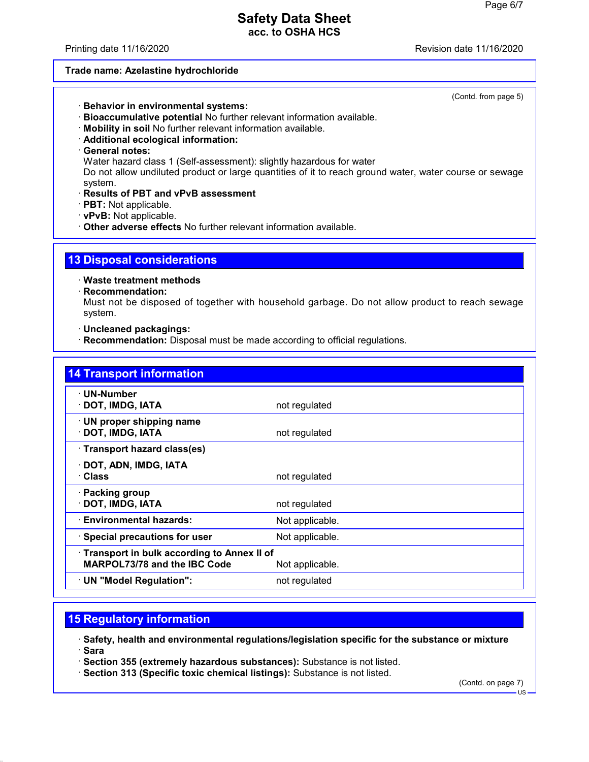Printing date 11/16/2020 **Review Accord 2012** Revision date 11/16/2020

#### **Trade name: Azelastine hydrochloride**

(Contd. from page 5)

- · **Behavior in environmental systems:**
- · **Bioaccumulative potential** No further relevant information available.
- · **Mobility in soil** No further relevant information available.
- · **Additional ecological information:**
- · **General notes:**

Water hazard class 1 (Self-assessment): slightly hazardous for water

Do not allow undiluted product or large quantities of it to reach ground water, water course or sewage system.

- · **Results of PBT and vPvB assessment**
- · **PBT:** Not applicable.
- · **vPvB:** Not applicable.
- · **Other adverse effects** No further relevant information available.

#### **13 Disposal considerations**

· **Waste treatment methods**

· **Recommendation:**

Must not be disposed of together with household garbage. Do not allow product to reach sewage system.

· **Uncleaned packagings:**

· **Recommendation:** Disposal must be made according to official regulations.

| <b>14 Transport information</b>                                                                      |                 |  |
|------------------------------------------------------------------------------------------------------|-----------------|--|
| · UN-Number<br>· DOT, IMDG, IATA                                                                     | not regulated   |  |
| · UN proper shipping name<br>· DOT, IMDG, IATA                                                       | not regulated   |  |
| · Transport hazard class(es)                                                                         |                 |  |
| · DOT, ADN, IMDG, IATA<br>· Class                                                                    | not regulated   |  |
| · Packing group<br>DOT, IMDG, IATA                                                                   | not regulated   |  |
| · Environmental hazards:                                                                             | Not applicable. |  |
| · Special precautions for user                                                                       | Not applicable. |  |
| Transport in bulk according to Annex II of<br><b>MARPOL73/78 and the IBC Code</b><br>Not applicable. |                 |  |
| · UN "Model Regulation":                                                                             | not regulated   |  |

## **15 Regulatory information**

· **Safety, health and environmental regulations/legislation specific for the substance or mixture** · **Sara**

· **Section 355 (extremely hazardous substances):** Substance is not listed.

· **Section 313 (Specific toxic chemical listings):** Substance is not listed.

(Contd. on page 7)

US